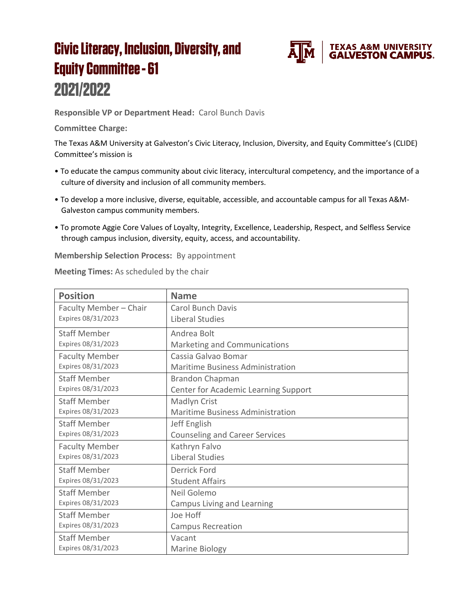## **Civic Literacy, Inclusion, Diversity, and Equity Committee - 61** 2021/2022



**Responsible VP or Department Head:** Carol Bunch Davis

**Committee Charge:**

The Texas A&M University at Galveston's Civic Literacy, Inclusion, Diversity, and Equity Committee's (CLIDE) Committee's mission is

- To educate the campus community about civic literacy, intercultural competency, and the importance of a culture of diversity and inclusion of all community members.
- To develop a more inclusive, diverse, equitable, accessible, and accountable campus for all Texas A&M-Galveston campus community members.
- To promote Aggie Core Values of Loyalty, Integrity, Excellence, Leadership, Respect, and Selfless Service through campus inclusion, diversity, equity, access, and accountability.

**Membership Selection Process:** By appointment

**Meeting Times:** As scheduled by the chair

| <b>Position</b>        | <b>Name</b>                             |
|------------------------|-----------------------------------------|
| Faculty Member - Chair | <b>Carol Bunch Davis</b>                |
| Expires 08/31/2023     | Liberal Studies                         |
| <b>Staff Member</b>    | Andrea Bolt                             |
| Expires 08/31/2023     | Marketing and Communications            |
| <b>Faculty Member</b>  | Cassia Galvao Bomar                     |
| Expires 08/31/2023     | <b>Maritime Business Administration</b> |
| <b>Staff Member</b>    | <b>Brandon Chapman</b>                  |
| Expires 08/31/2023     | Center for Academic Learning Support    |
| <b>Staff Member</b>    | Madlyn Crist                            |
| Expires 08/31/2023     | Maritime Business Administration        |
| <b>Staff Member</b>    | Jeff English                            |
| Expires 08/31/2023     | <b>Counseling and Career Services</b>   |
| <b>Faculty Member</b>  | Kathryn Falvo                           |
| Expires 08/31/2023     | Liberal Studies                         |
| <b>Staff Member</b>    | Derrick Ford                            |
| Expires 08/31/2023     | <b>Student Affairs</b>                  |
| <b>Staff Member</b>    | Neil Golemo                             |
| Expires 08/31/2023     | <b>Campus Living and Learning</b>       |
| <b>Staff Member</b>    | Joe Hoff                                |
| Expires 08/31/2023     | <b>Campus Recreation</b>                |
| <b>Staff Member</b>    | Vacant                                  |
| Expires 08/31/2023     | <b>Marine Biology</b>                   |